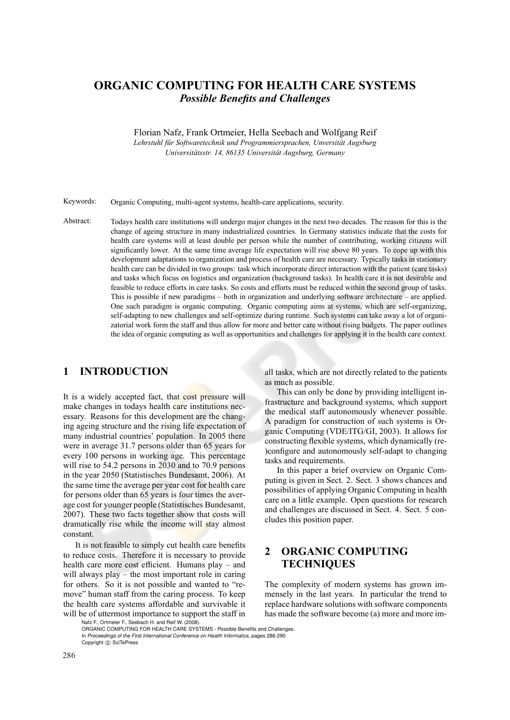# **ORGANIC COMPUTING FOR HEALTH CARE SYSTEMS** *Possible Benefits and Challenges*

Florian Nafz, Frank Ortmeier, Hella Seebach and Wolfgang Reif

*Lehrstuhl fu¨r Softwaretechnik und Programmiersprachen, Unversita¨t Augsburg Universita¨tsstr. 14, 86135 Universita¨t Augsburg, Germany*

Keywords: Organic Computing, multi-agent systems, health-care applications, security.

Abstract: Todays health care institutions will undergo major changes in the next two decades. The reason for this is the change of ageing structure in many industrialized countries. In Germany statistics indicate that the costs for health care systems will at least double per person while the number of contributing, working citizens will significantly lower. At the same time average life expectation will rise above 80 years. To cope up with this development adaptations to organization and process of health care are necessary. Typically tasks in stationary health care can be divided in two groups: task which incorporate direct interaction with the patient (care tasks) and tasks which focus on logistics and organization (background tasks). In health care it is not desirable and feasible to reduce efforts in care tasks. So costs and efforts must be reduced within the second group of tasks. This is possible if new paradigms – both in organization and underlying software architecture – are applied. One such paradigm is organic computing. Organic computing aims at systems, which are self-organizing, self-adapting to new challenges and self-optimize during runtime. Such systems can take away a lot of organizatorial work form the staff and thus allow for more and better care without rising budgets. The paper outlines the idea of organic computing as well as opportunities and challenges for applying it in the health care context.

## **1 INTRODUCTION**

It is a widely accepted fact, that cost pressure will make changes in todays health care institutions necessary. Reasons for this development are the changing ageing structure and the rising life expectation of many industrial countries' population. In 2005 there were in average 31.7 persons older than 65 years for every 100 persons in working age. This percentage will rise to 54.2 persons in 2030 and to 70.9 persons in the year 2050 (Statistisches Bundesamt, 2006). At the same time the average per year cost for health care for persons older than 65 years is four times the average cost for younger people (Statistisches Bundesamt, 2007). These two facts together show that costs will dramatically rise while the income will stay almost constant.

It is not feasible to simply cut health care benefits to reduce costs. Therefore it is necessary to provide health care more cost efficient. Humans play – and will always play – the most important role in caring for others. So it is not possible and wanted to "remove" human staff from the caring process. To keep the health care systems affordable and survivable it will be of uttermost importance to support the staff in

all tasks, which are not directly related to the patients as much as possible.

This can only be done by providing intelligent infrastructure and background systems, which support the medical staff autonomously whenever possible. A paradigm for construction of such systems is Organic Computing (VDE/ITG/GI, 2003). It allows for constructing flexible systems, which dynamically (re- )configure and autonomously self-adapt to changing tasks and requirements.

In this paper a brief overview on Organic Computing is given in Sect. 2. Sect. 3 shows chances and possibilities of applying Organic Computing in health care on a little example. Open questions for research and challenges are discussed in Sect. 4. Sect. 5 concludes this position paper.

# **2 ORGANIC COMPUTING TECHNIQUES**

The complexity of modern systems has grown immensely in the last years. In particular the trend to replace hardware solutions with software components has made the software become (a) more and more im-

Nafz F., Ortmeier F., Seebach H. and Reif W. (2008). ORGANIC COMPUTING FOR HEALTH CARE SYSTEMS - Possible Benefits and Challenges. In *Proceedings of the First International Conference on Health Informatics*, pages 286-290 Copyright (C) SciTePress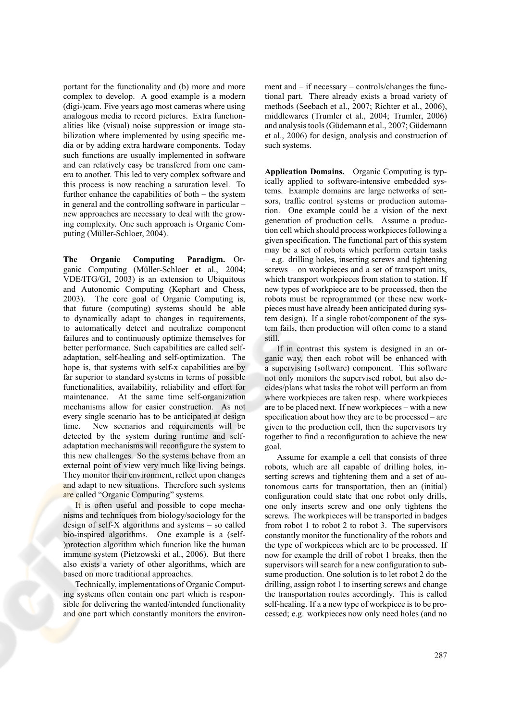portant for the functionality and (b) more and more complex to develop. A good example is a modern (digi-)cam. Five years ago most cameras where using analogous media to record pictures. Extra functionalities like (visual) noise suppression or image stabilization where implemented by using specific media or by adding extra hardware components. Today such functions are usually implemented in software and can relatively easy be transfered from one camera to another. This led to very complex software and this process is now reaching a saturation level. To further enhance the capabilities of both – the system in general and the controlling software in particular – new approaches are necessary to deal with the growing complexity. One such approach is Organic Computing (Müller-Schloer, 2004).

**The Organic Computing Paradigm.** Organic Computing (Müller-Schloer et al., 2004; VDE/ITG/GI, 2003) is an extension to Ubiquitous and Autonomic Computing (Kephart and Chess, 2003). The core goal of Organic Computing is, that future (computing) systems should be able to dynamically adapt to changes in requirements, to automatically detect and neutralize component failures and to continuously optimize themselves for better performance. Such capabilities are called selfadaptation, self-healing and self-optimization. The hope is, that systems with self-x capabilities are by far superior to standard systems in terms of possible functionalities, availability, reliability and effort for maintenance. At the same time self-organization mechanisms allow for easier construction. As not every single scenario has to be anticipated at design time. New scenarios and requirements will be detected by the system during runtime and selfadaptation mechanisms will reconfigure the system to this new challenges. So the systems behave from an external point of view very much like living beings. They monitor their environment, reflect upon changes and adapt to new situations. Therefore such systems are called "Organic Computing" systems.

It is often useful and possible to cope mechanisms and techniques from biology/sociology for the design of self-X algorithms and systems – so called bio-inspired algorithms. One example is a (self- )protection algorithm which function like the human immune system (Pietzowski et al., 2006). But there also exists a variety of other algorithms, which are based on more traditional approaches.

Technically, implementations of Organic Computing systems often contain one part which is responsible for delivering the wanted/intended functionality and one part which constantly monitors the environment and – if necessary – controls/changes the functional part. There already exists a broad variety of methods (Seebach et al., 2007; Richter et al., 2006), middlewares (Trumler et al., 2004; Trumler, 2006) and analysis tools (Güdemann et al., 2007; Güdemann et al., 2006) for design, analysis and construction of such systems.

**Application Domains.** Organic Computing is typically applied to software-intensive embedded systems. Example domains are large networks of sensors, traffic control systems or production automation. One example could be a vision of the next generation of production cells. Assume a production cell which should process workpieces following a given specification. The functional part of this system may be a set of robots which perform certain tasks – e.g. drilling holes, inserting screws and tightening screws – on workpieces and a set of transport units, which transport workpieces from station to station. If new types of workpiece are to be processed, then the robots must be reprogrammed (or these new workpieces must have already been anticipated during system design). If a single robot/component of the system fails, then production will often come to a stand still.

If in contrast this system is designed in an organic way, then each robot will be enhanced with a supervising (software) component. This software not only monitors the supervised robot, but also decides/plans what tasks the robot will perform an from where workpieces are taken resp. where workpieces are to be placed next. If new workpieces – with a new specification about how they are to be processed – are given to the production cell, then the supervisors try together to find a reconfiguration to achieve the new goal.

Assume for example a cell that consists of three robots, which are all capable of drilling holes, inserting screws and tightening them and a set of autonomous carts for transportation, then an (initial) configuration could state that one robot only drills, one only inserts screw and one only tightens the screws. The workpieces will be transported in badges from robot 1 to robot 2 to robot 3. The supervisors constantly monitor the functionality of the robots and the type of workpieces which are to be processed. If now for example the drill of robot 1 breaks, then the supervisors will search for a new configuration to subsume production. One solution is to let robot 2 do the drilling, assign robot 1 to inserting screws and change the transportation routes accordingly. This is called self-healing. If a a new type of workpiece is to be processed; e.g. workpieces now only need holes (and no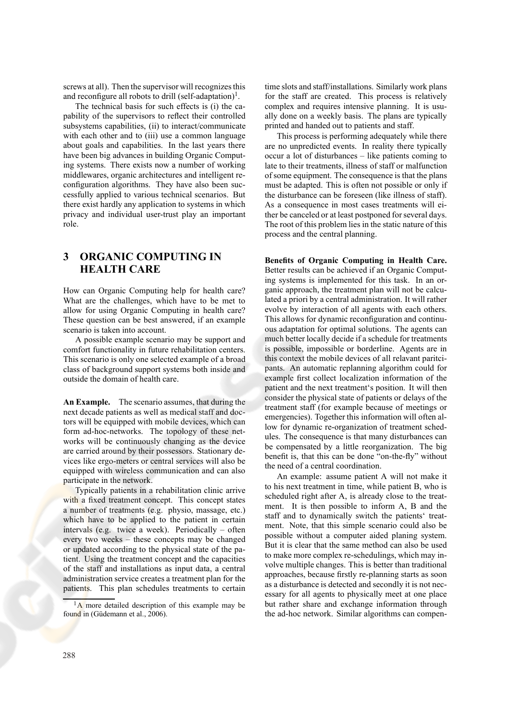screws at all). Then the supervisor will recognizes this and reconfigure all robots to drill (self-adaptation)<sup>1</sup>.

The technical basis for such effects is (i) the capability of the supervisors to reflect their controlled subsystems capabilities, (ii) to interact/communicate with each other and to (iii) use a common language about goals and capabilities. In the last years there have been big advances in building Organic Computing systems. There exists now a number of working middlewares, organic architectures and intelligent reconfiguration algorithms. They have also been successfully applied to various technical scenarios. But there exist hardly any application to systems in which privacy and individual user-trust play an important role.

## **3 ORGANIC COMPUTING IN HEALTH CARE**

How can Organic Computing help for health care? What are the challenges, which have to be met to allow for using Organic Computing in health care? These question can be best answered, if an example scenario is taken into account.

A possible example scenario may be support and comfort functionality in future rehabilitation centers. This scenario is only one selected example of a broad class of background support systems both inside and outside the domain of health care.

**An Example.** The scenario assumes, that during the next decade patients as well as medical staff and doctors will be equipped with mobile devices, which can form ad-hoc-networks. The topology of these networks will be continuously changing as the device are carried around by their possessors. Stationary devices like ergo-meters or central services will also be equipped with wireless communication and can also participate in the network.

Typically patients in a rehabilitation clinic arrive with a fixed treatment concept. This concept states a number of treatments (e.g. physio, massage, etc.) which have to be applied to the patient in certain intervals (e.g. twice a week). Periodically – often every two weeks – these concepts may be changed or updated according to the physical state of the patient. Using the treatment concept and the capacities of the staff and installations as input data, a central administration service creates a treatment plan for the patients. This plan schedules treatments to certain

time slots and staff/installations. Similarly work plans for the staff are created. This process is relatively complex and requires intensive planning. It is usually done on a weekly basis. The plans are typically printed and handed out to patients and staff.

This process is performing adequately while there are no unpredicted events. In reality there typically occur a lot of disturbances – like patients coming to late to their treatments, illness of staff or malfunction of some equipment. The consequence is that the plans must be adapted. This is often not possible or only if the disturbance can be foreseen (like illness of staff). As a consequence in most cases treatments will either be canceled or at least postponed for several days. The root of this problem lies in the static nature of this process and the central planning.

#### **Benefits of Organic Computing in Health Care.** Better results can be achieved if an Organic Computing systems is implemented for this task. In an organic approach, the treatment plan will not be calculated a priori by a central administration. It will rather evolve by interaction of all agents with each others. This allows for dynamic reconfiguration and continuous adaptation for optimal solutions. The agents can much better locally decide if a schedule for treatments is possible, impossible or borderline. Agents are in this context the mobile devices of all relavant paritcipants. An automatic replanning algorithm could for example first collect localization information of the patient and the next treatment's position. It will then consider the physical state of patients or delays of the treatment staff (for example because of meetings or emergencies). Together this information will often allow for dynamic re-organization of treatment schedules. The consequence is that many disturbances can be compensated by a little reorganization. The big benefit is, that this can be done "on-the-fly" without the need of a central coordination.

An example: assume patient A will not make it to his next treatment in time, while patient B, who is scheduled right after A, is already close to the treatment. It is then possible to inform A, B and the staff and to dynamically switch the patients' treatment. Note, that this simple scenario could also be possible without a computer aided planing system. But it is clear that the same method can also be used to make more complex re-schedulings, which may involve multiple changes. This is better than traditional approaches, because firstly re-planning starts as soon as a disturbance is detected and secondly it is not necessary for all agents to physically meet at one place but rather share and exchange information through the ad-hoc network. Similar algorithms can compen-

 $1_A$  more detailed description of this example may be found in (Güdemann et al., 2006).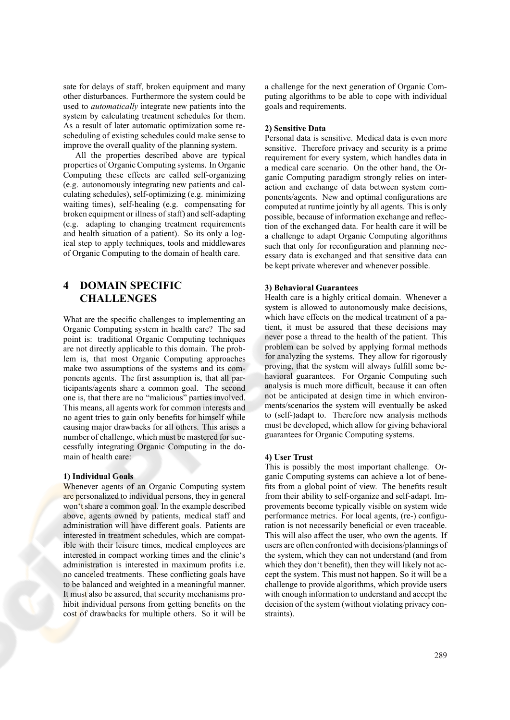sate for delays of staff, broken equipment and many other disturbances. Furthermore the system could be used to *automatically* integrate new patients into the system by calculating treatment schedules for them. As a result of later automatic optimization some rescheduling of existing schedules could make sense to improve the overall quality of the planning system.

All the properties described above are typical properties of Organic Computing systems. In Organic Computing these effects are called self-organizing (e.g. autonomously integrating new patients and calculating schedules), self-optimizing (e.g. minimizing waiting times), self-healing (e.g. compensating for broken equipment or illness of staff) and self-adapting (e.g. adapting to changing treatment requirements and health situation of a patient). So its only a logical step to apply techniques, tools and middlewares of Organic Computing to the domain of health care.

### **4 DOMAIN SPECIFIC CHALLENGES**

What are the specific challenges to implementing an Organic Computing system in health care? The sad point is: traditional Organic Computing techniques are not directly applicable to this domain. The problem is, that most Organic Computing approaches make two assumptions of the systems and its components agents. The first assumption is, that all participants/agents share a common goal. The second one is, that there are no "malicious" parties involved. This means, all agents work for common interests and no agent tries to gain only benefits for himself while causing major drawbacks for all others. This arises a number of challenge, which must be mastered for successfully integrating Organic Computing in the domain of health care:

#### **1) Individual Goals**

Whenever agents of an Organic Computing system are personalized to individual persons, they in general won't share a common goal. In the example described above, agents owned by patients, medical staff and administration will have different goals. Patients are interested in treatment schedules, which are compatible with their leisure times, medical employees are interested in compact working times and the clinic's administration is interested in maximum profits i.e. no canceled treatments. These conflicting goals have to be balanced and weighted in a meaningful manner. It must also be assured, that security mechanisms prohibit individual persons from getting benefits on the cost of drawbacks for multiple others. So it will be

a challenge for the next generation of Organic Computing algorithms to be able to cope with individual goals and requirements.

#### **2) Sensitive Data**

Personal data is sensitive. Medical data is even more sensitive. Therefore privacy and security is a prime requirement for every system, which handles data in a medical care scenario. On the other hand, the Organic Computing paradigm strongly relies on interaction and exchange of data between system components/agents. New and optimal configurations are computed at runtime jointly by all agents. This is only possible, because of information exchange and reflection of the exchanged data. For health care it will be a challenge to adapt Organic Computing algorithms such that only for reconfiguration and planning necessary data is exchanged and that sensitive data can be kept private wherever and whenever possible.

#### **3) Behavioral Guarantees**

Health care is a highly critical domain. Whenever a system is allowed to autonomously make decisions, which have effects on the medical treatment of a patient, it must be assured that these decisions may never pose a thread to the health of the patient. This problem can be solved by applying formal methods for analyzing the systems. They allow for rigorously proving, that the system will always fulfill some behavioral guarantees. For Organic Computing such analysis is much more difficult, because it can often not be anticipated at design time in which environments/scenarios the system will eventually be asked to (self-)adapt to. Therefore new analysis methods must be developed, which allow for giving behavioral guarantees for Organic Computing systems.

#### **4) User Trust**

This is possibly the most important challenge. Organic Computing systems can achieve a lot of benefits from a global point of view. The benefits result from their ability to self-organize and self-adapt. Improvements become typically visible on system wide performance metrics. For local agents, (re-) configuration is not necessarily beneficial or even traceable. This will also affect the user, who own the agents. If users are often confronted with decisions/plannings of the system, which they can not understand (and from which they don't benefit), then they will likely not accept the system. This must not happen. So it will be a challenge to provide algorithms, which provide users with enough information to understand and accept the decision of the system (without violating privacy constraints).